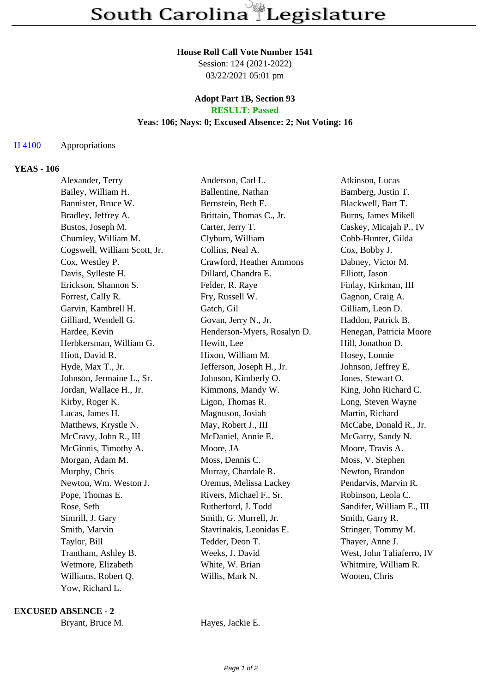#### **House Roll Call Vote Number 1541**

Session: 124 (2021-2022) 03/22/2021 05:01 pm

### **Adopt Part 1B, Section 93 RESULT: Passed**

## **Yeas: 106; Nays: 0; Excused Absence: 2; Not Voting: 16**

### H 4100 Appropriations

# **YEAS - 106**

| Alexander, Terry             | Anderson, Carl L.           | Atkinson, Lucas            |
|------------------------------|-----------------------------|----------------------------|
| Bailey, William H.           | Ballentine, Nathan          | Bamberg, Justin T.         |
| Bannister, Bruce W.          | Bernstein, Beth E.          | Blackwell, Bart T.         |
| Bradley, Jeffrey A.          | Brittain, Thomas C., Jr.    | <b>Burns, James Mikell</b> |
| Bustos, Joseph M.            | Carter, Jerry T.            | Caskey, Micajah P., IV     |
| Chumley, William M.          | Clyburn, William            | Cobb-Hunter, Gilda         |
| Cogswell, William Scott, Jr. | Collins, Neal A.            | Cox, Bobby J.              |
| Cox, Westley P.              | Crawford, Heather Ammons    | Dabney, Victor M.          |
| Davis, Sylleste H.           | Dillard, Chandra E.         | Elliott, Jason             |
| Erickson, Shannon S.         | Felder, R. Raye             | Finlay, Kirkman, III       |
| Forrest, Cally R.            | Fry, Russell W.             | Gagnon, Craig A.           |
| Garvin, Kambrell H.          | Gatch, Gil                  | Gilliam, Leon D.           |
| Gilliard, Wendell G.         | Govan, Jerry N., Jr.        | Haddon, Patrick B.         |
| Hardee, Kevin                | Henderson-Myers, Rosalyn D. | Henegan, Patricia Moore    |
| Herbkersman, William G.      | Hewitt, Lee                 | Hill, Jonathon D.          |
| Hiott, David R.              | Hixon, William M.           | Hosey, Lonnie              |
| Hyde, Max T., Jr.            | Jefferson, Joseph H., Jr.   | Johnson, Jeffrey E.        |
| Johnson, Jermaine L., Sr.    | Johnson, Kimberly O.        | Jones, Stewart O.          |
| Jordan, Wallace H., Jr.      | Kimmons, Mandy W.           | King, John Richard C.      |
| Kirby, Roger K.              | Ligon, Thomas R.            | Long, Steven Wayne         |
| Lucas, James H.              | Magnuson, Josiah            | Martin, Richard            |
| Matthews, Krystle N.         | May, Robert J., III         | McCabe, Donald R., Jr.     |
| McCravy, John R., III        | McDaniel, Annie E.          | McGarry, Sandy N.          |
| McGinnis, Timothy A.         | Moore, JA                   | Moore, Travis A.           |
| Morgan, Adam M.              | Moss, Dennis C.             | Moss, V. Stephen           |
| Murphy, Chris                | Murray, Chardale R.         | Newton, Brandon            |
| Newton, Wm. Weston J.        | Oremus, Melissa Lackey      | Pendarvis, Marvin R.       |
| Pope, Thomas E.              | Rivers, Michael F., Sr.     | Robinson, Leola C.         |
| Rose, Seth                   | Rutherford, J. Todd         | Sandifer, William E., III  |
| Simrill, J. Gary             | Smith, G. Murrell, Jr.      | Smith, Garry R.            |
| Smith, Marvin                | Stavrinakis, Leonidas E.    | Stringer, Tommy M.         |
| Taylor, Bill                 | Tedder, Deon T.             | Thayer, Anne J.            |
| Trantham, Ashley B.          | Weeks, J. David             | West, John Taliaferro, IV  |
| Wetmore, Elizabeth           | White, W. Brian             | Whitmire, William R.       |
| Williams, Robert Q.          | Willis, Mark N.             | Wooten, Chris              |
| Yow, Richard L.              |                             |                            |
|                              |                             |                            |

#### **EXCUSED ABSENCE - 2**

Bryant, Bruce M. Hayes, Jackie E.